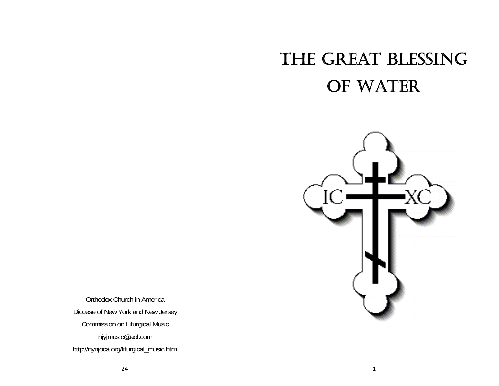# THE GREAT BLESSING OF WATER



Orthodox Church in America Diocese of New York and New Jersey Commission on Liturgical Music njyjmusic@aol.com http://nynjoca.org/liturgical\_music.html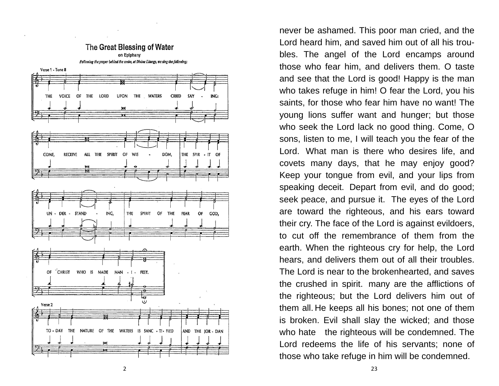

never be ashamed. This poor man cried, and the Lord heard him, and saved him out of all his troubles. The angel of the Lord encamps around those who fear him, and delivers them. O taste and see that the Lord is good! Happy is the man who takes refuge in him! O fear the Lord, you his saints, for those who fear him have no want! The young lions suffer want and hunger; but those who seek the Lord lack no good thing. Come, O sons, listen to me, I will teach you the fear of the Lord. What man is there who desires life, and covets many days, that he may enjoy good? Keep your tongue from evil, and your lips from speaking deceit. Depart from evil, and do good; seek peace, and pursue it. The eyes of the Lord are toward the righteous, and his ears toward their cry. The face of the Lord is against evildoers, to cut off the remembrance of them from the earth. When the righteous cry for help, the Lord hears, and delivers them out of all their troubles. The Lord is near to the brokenhearted, and saves the crushed in spirit. many are the afflictions of the righteous; but the Lord delivers him out of them all. He keeps all his bones; not one of them is broken. Evil shall slay the wicked; and those who hate the righteous will be condemned. The Lord redeems the life of his servants; none of those who take refuge in him will be condemned.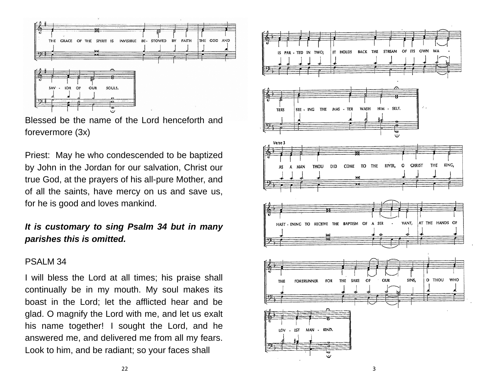

Blessed be the name of the Lord henceforth and forevermore (3x)

Priest: May he who condescended to be baptized by John in the Jordan for our salvation, Christ our true God, at the prayers of his all-pure Mother, and of all the saints, have mercy on us and save us, for he is good and loves mankind.

# *It is customary to sing Psalm 34 but in many parishes this is omitted.*

#### PSALM 34

I will bless the Lord at all times; his praise shall continually be in my mouth. My soul makes its boast in the Lord; let the afflicted hear and be glad. O magnify the Lord with me, and let us exalt his name together! I sought the Lord, and he answered me, and delivered me from all my fears. Look to him, and be radiant; so your faces shall

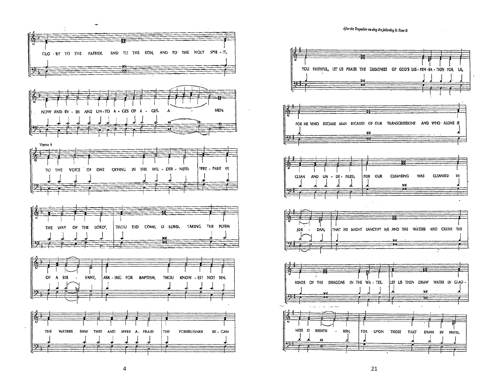

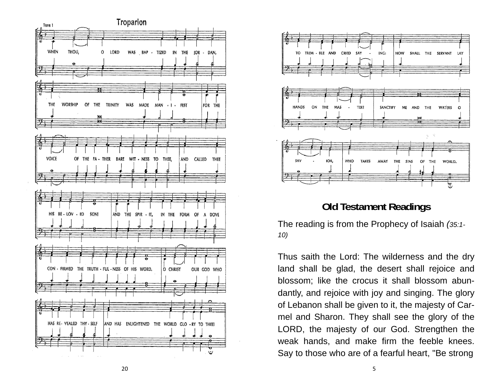



# **Old Testament Readings**

The reading is from the Prophecy of Isaiah *(35:1- 10)*

Thus saith the Lord: The wilderness and the dry land shall be glad, the desert shall rejoice and blossom; like the crocus it shall blossom abundantly, and rejoice with joy and singing. The glory of Lebanon shall be given to it, the majesty of Carmel and Sharon. They shall see the glory of the LORD, the majesty of our God. Strengthen the weak hands, and make firm the feeble knees. Say to those who are of a fearful heart, "Be strong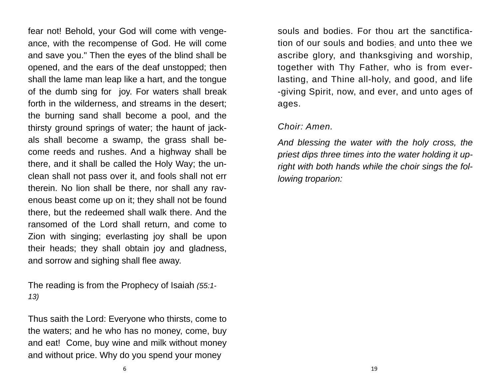fear not! Behold, your God will come with vengeance, with the recompense of God. He will come and save you." Then the eyes of the blind shall be opened, and the ears of the deaf unstopped; then shall the lame man leap like a hart, and the tongue of the dumb sing for joy. For waters shall break forth in the wilderness, and streams in the desert; the burning sand shall become a pool, and the thirsty ground springs of water; the haunt of jackals shall become a swamp, the grass shall become reeds and rushes. And a highway shall be there, and it shall be called the Holy Way; the unclean shall not pass over it, and fools shall not err therein. No lion shall be there, nor shall any ravenous beast come up on it; they shall not be found there, but the redeemed shall walk there. And the ransomed of the Lord shall return, and come to Zion with singing; everlasting joy shall be upon their heads; they shall obtain joy and gladness, and sorrow and sighing shall flee away.

The reading is from the Prophecy of Isaiah *(55:1- 13)*

Thus saith the Lord: Everyone who thirsts, come to the waters; and he who has no money, come, buy and eat! Come, buy wine and milk without money and without price. Why do you spend your money

souls and bodies. For thou art the sanctification of our souls and bodies; and unto thee we ascribe glory, and thanksgiving and worship, together with Thy Father, who is from everlasting, and Thine all-holy, and good, and life -giving Spirit, now, and ever, and unto ages of ages.

#### *Choir: Amen.*

*And blessing the water with the holy cross, the priest dips three times into the water holding it upright with both hands while the choir sings the following troparion:*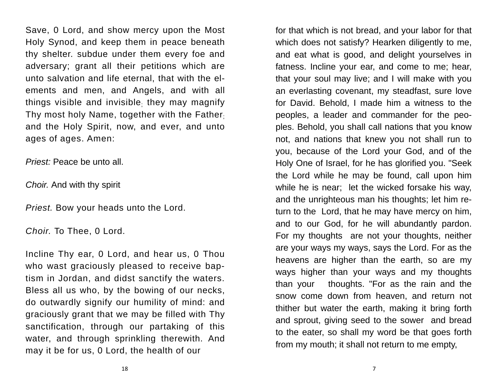Save, 0 Lord, and show mercy upon the Most Holy Synod, and keep them in peace beneath thy shelter. subdue under them every foe and adversary; grant all their petitions which are unto salvation and life eternal, that with the elements and men, and Angels, and with all things visible and invisible; they may magnify Thy most holy Name, together with the Father; and the Holy Spirit, now, and ever, and unto ages of ages. Amen:

*Priest:* Peace be unto all.

*Choir.* And with thy spirit

*Priest.* Bow your heads unto the Lord.

*Choir.* To Thee, 0 Lord.

Incline Thy ear, 0 Lord, and hear us, 0 Thou who wast graciously pleased to receive baptism in Jordan, and didst sanctify the waters. Bless all us who, by the bowing of our necks, do outwardly signify our humility of mind: and graciously grant that we may be filled with Thy sanctification, through our partaking of this water, and through sprinkling therewith. And may it be for us, 0 Lord, the health of our

for that which is not bread, and your labor for that which does not satisfy? Hearken diligently to me, and eat what is good, and delight yourselves in fatness. Incline your ear, and come to me; hear, that your soul may live; and I will make with you an everlasting covenant, my steadfast, sure love for David. Behold, I made him a witness to the peoples, a leader and commander for the peoples. Behold, you shall call nations that you know not, and nations that knew you not shall run to you, because of the Lord your God, and of the Holy One of Israel, for he has glorified you. "Seek the Lord while he may be found, call upon him while he is near; let the wicked forsake his way, and the unrighteous man his thoughts; let him return to the Lord, that he may have mercy on him, and to our God, for he will abundantly pardon. For my thoughts are not your thoughts, neither are your ways my ways, says the Lord. For as the heavens are higher than the earth, so are my ways higher than your ways and my thoughts than your thoughts. "For as the rain and the snow come down from heaven, and return not thither but water the earth, making it bring forth and sprout, giving seed to the sower and bread to the eater, so shall my word be that goes forth from my mouth; it shall not return to me empty,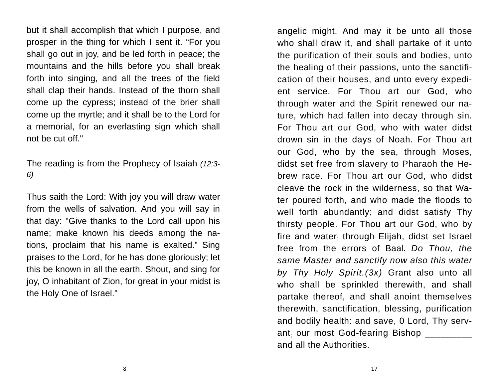but it shall accomplish that which I purpose, and prosper in the thing for which I sent it. "For you shall go out in joy, and be led forth in peace; the mountains and the hills before you shall break forth into singing, and all the trees of the field shall clap their hands. Instead of the thorn shall come up the cypress; instead of the brier shall come up the myrtle; and it shall be to the Lord for a memorial, for an everlasting sign which shall not be cut off."

The reading is from the Prophecy of Isaiah *(12:3- 6)*

Thus saith the Lord: With joy you will draw water from the wells of salvation. And you will say in that day: "Give thanks to the Lord call upon his name; make known his deeds among the nations, proclaim that his name is exalted." Sing praises to the Lord, for he has done gloriously; let this be known in all the earth. Shout, and sing for joy, O inhabitant of Zion, for great in your midst is the Holy One of Israel."

angelic might. And may it be unto all those who shall draw it, and shall partake of it unto the purification of their souls and bodies, unto the healing of their passions, unto the sanctification of their houses, and unto every expedient service. For Thou art our God, who through water and the Spirit renewed our nature, which had fallen into decay through sin. For Thou art our God, who with water didst drown sin in the days of Noah. For Thou art our God, who by the sea, through Moses, didst set free from slavery to Pharaoh the Hebrew race. For Thou art our God, who didst cleave the rock in the wilderness, so that Water poured forth, and who made the floods to well forth abundantly; and didst satisfy Thy thirsty people. For Thou art our God, who by fire and water; through Elijah, didst set Israel free from the errors of Baal. *Do Thou, the same Master and sanctify now also this water by Thy Holy Spirit.(3x)* Grant also unto all who shall be sprinkled therewith, and shall partake thereof, and shall anoint themselves therewith, sanctification, blessing, purification and bodily health: and save, 0 Lord, Thy servant our most God-fearing Bishop \_\_\_\_\_\_\_\_ and all the Authorities.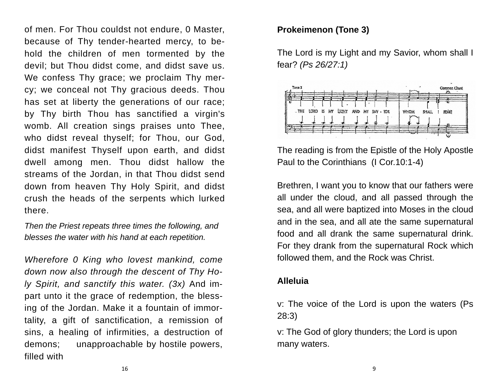of men. For Thou couldst not endure, 0 Master, because of Thy tender-hearted mercy, to behold the children of men tormented by the devil; but Thou didst come, and didst save us. We confess Thy grace; we proclaim Thy mercy; we conceal not Thy gracious deeds. Thou has set at liberty the generations of our race; by Thy birth Thou has sanctified a virgin's womb. All creation sings praises unto Thee, who didst reveal thyself; for Thou, our God, didst manifest Thyself upon earth, and didst dwell among men. Thou didst hallow the streams of the Jordan, in that Thou didst send down from heaven Thy Holy Spirit, and didst crush the heads of the serpents which lurked there.

*Then the Priest repeats three times the following, and blesses the water with his hand at each repetition.* 

*Wherefore 0 King who lovest mankind, come down now also through the descent of Thy Holy Spirit, and sanctify this water. (3x)* And impart unto it the grace of redemption, the blessing of the Jordan. Make it a fountain of immortality, a gift of sanctification, a remission of sins, a healing of infirmities, a destruction of demons; unapproachable by hostile powers, filled with

#### **Prokeimenon (Tone 3)**

The Lord is my Light and my Savior, whom shall I fear? *(Ps 26/27:1)*



The reading is from the Epistle of the Holy Apostle Paul to the Corinthians (I Cor.10:1-4)

Brethren, I want you to know that our fathers were all under the cloud, and all passed through the sea, and all were baptized into Moses in the cloud and in the sea, and all ate the same supernatural food and all drank the same supernatural drink. For they drank from the supernatural Rock which followed them, and the Rock was Christ.

## **Alleluia**

v: The voice of the Lord is upon the waters (Ps 28:3)

v: The God of glory thunders; the Lord is upon many waters.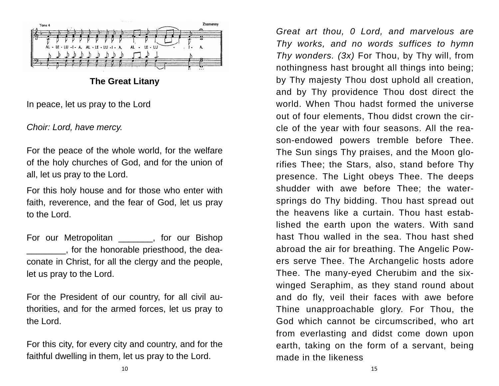

**The Great Litany** 

In peace, let us pray to the Lord

*Choir: Lord, have mercy.*

For the peace of the whole world, for the welfare of the holy churches of God, and for the union of all, let us pray to the Lord.

For this holy house and for those who enter with faith, reverence, and the fear of God, let us pray to the Lord.

For our Metropolitan For our Bishop \_\_\_\_\_\_\_\_, for the honorable priesthood, the deaconate in Christ, for all the clergy and the people, let us pray to the Lord.

For the President of our country, for all civil authorities, and for the armed forces, let us pray to the Lord.

For this city, for every city and country, and for the faithful dwelling in them, let us pray to the Lord.

*Great art thou, 0 Lord, and marvelous are Thy works, and no words suffices to hymn Thy wonders. (3x)* For Thou, by Thy will, from nothingness hast brought all things into being; by Thy majesty Thou dost uphold all creation, and by Thy providence Thou dost direct the world. When Thou hadst formed the universe out of four elements, Thou didst crown the circle of the year with four seasons. All the reason-endowed powers tremble before Thee. The Sun sings Thy praises, and the Moon glorifies Thee; the Stars, also, stand before Thy presence. The Light obeys Thee. The deeps shudder with awe before Thee; the watersprings do Thy bidding. Thou hast spread out the heavens like a curtain. Thou hast established the earth upon the waters. With sand hast Thou walled in the sea. Thou hast shed abroad the air for breathing. The Angelic Powers serve Thee. The Archangelic hosts adore Thee. The many-eyed Cherubim and the sixwinged Seraphim, as they stand round about and do fly, veil their faces with awe before Thine unapproachable glory. For Thou, the God which cannot be circumscribed, who art from everlasting and didst come down upon earth, taking on the form of a servant, being made in the likeness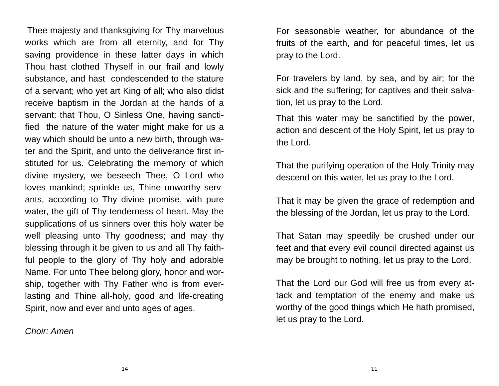Thee majesty and thanksgiving for Thy marvelous works which are from all eternity, and for Thy saving providence in these latter days in which Thou hast clothed Thyself in our frail and lowly substance, and hast condescended to the stature of a servant; who yet art King of all; who also didst receive baptism in the Jordan at the hands of a servant: that Thou, O Sinless One, having sanctified the nature of the water might make for us a way which should be unto a new birth, through water and the Spirit, and unto the deliverance first instituted for us. Celebrating the memory of which divine mystery, we beseech Thee, O Lord who loves mankind; sprinkle us, Thine unworthy servants, according to Thy divine promise, with pure water, the gift of Thy tenderness of heart. May the supplications of us sinners over this holy water be well pleasing unto Thy goodness; and may thy blessing through it be given to us and all Thy faithful people to the glory of Thy holy and adorable Name. For unto Thee belong glory, honor and worship, together with Thy Father who is from everlasting and Thine all-holy, good and life-creating Spirit, now and ever and unto ages of ages.

*Choir: Amen* 

For seasonable weather, for abundance of the fruits of the earth, and for peaceful times, let us pray to the Lord.

For travelers by land, by sea, and by air; for the sick and the suffering; for captives and their salvation, let us pray to the Lord.

That this water may be sanctified by the power, action and descent of the Holy Spirit, let us pray to the Lord.

That the purifying operation of the Holy Trinity may descend on this water, let us pray to the Lord.

That it may be given the grace of redemption and the blessing of the Jordan, let us pray to the Lord.

That Satan may speedily be crushed under our feet and that every evil council directed against us may be brought to nothing, let us pray to the Lord.

That the Lord our God will free us from every attack and temptation of the enemy and make us worthy of the good things which He hath promised, let us pray to the Lord.